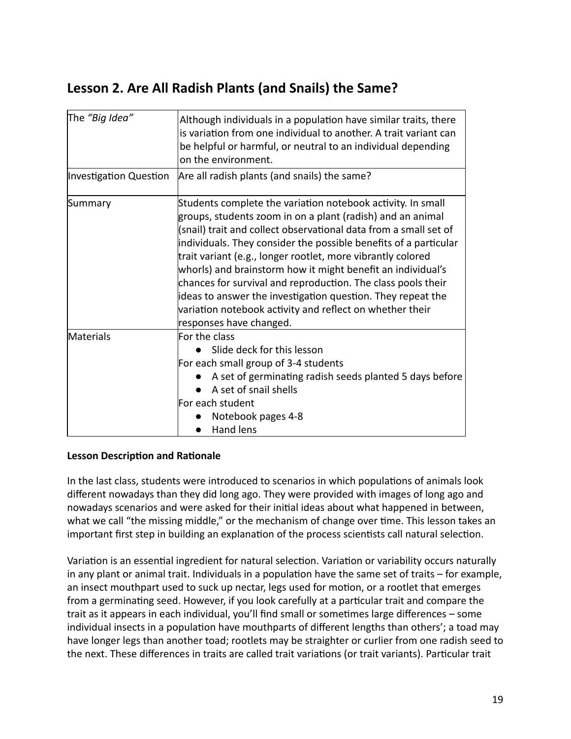# **Lesson 2. Are All Radish Plants (and Snails) the Same?**

| The "Big Idea"                | Although individuals in a population have similar traits, there<br>is variation from one individual to another. A trait variant can<br>be helpful or harmful, or neutral to an individual depending<br>on the environment.                                                                                                                                                                                                                                                                                                                                                                                            |
|-------------------------------|-----------------------------------------------------------------------------------------------------------------------------------------------------------------------------------------------------------------------------------------------------------------------------------------------------------------------------------------------------------------------------------------------------------------------------------------------------------------------------------------------------------------------------------------------------------------------------------------------------------------------|
| <b>Investigation Question</b> | Are all radish plants (and snails) the same?                                                                                                                                                                                                                                                                                                                                                                                                                                                                                                                                                                          |
| Summary                       | Students complete the variation notebook activity. In small<br>groups, students zoom in on a plant (radish) and an animal<br>(snail) trait and collect observational data from a small set of<br>individuals. They consider the possible benefits of a particular<br>trait variant (e.g., longer rootlet, more vibrantly colored<br>whorls) and brainstorm how it might benefit an individual's<br>chances for survival and reproduction. The class pools their<br>ideas to answer the investigation question. They repeat the<br>variation notebook activity and reflect on whether their<br>responses have changed. |
| <b>Materials</b>              | For the class<br>Slide deck for this lesson<br>For each small group of 3-4 students<br>A set of germinating radish seeds planted 5 days before<br>A set of snail shells<br>For each student<br>Notebook pages 4-8<br>Hand lens                                                                                                                                                                                                                                                                                                                                                                                        |

# **Lesson Description and Rationale**

In the last class, students were introduced to scenarios in which populations of animals look different nowadays than they did long ago. They were provided with images of long ago and nowadays scenarios and were asked for their initial ideas about what happened in between, what we call "the missing middle," or the mechanism of change over time. This lesson takes an important first step in building an explanation of the process scientists call natural selection.

Variation is an essential ingredient for natural selection. Variation or variability occurs naturally in any plant or animal trait. Individuals in a population have the same set of traits  $-$  for example, an insect mouthpart used to suck up nectar, legs used for motion, or a rootlet that emerges from a germinating seed. However, if you look carefully at a particular trait and compare the trait as it appears in each individual, you'll find small or sometimes large differences  $-$  some individual insects in a population have mouthparts of different lengths than others'; a toad may have longer legs than another toad; rootlets may be straighter or curlier from one radish seed to the next. These differences in traits are called trait variations (or trait variants). Particular trait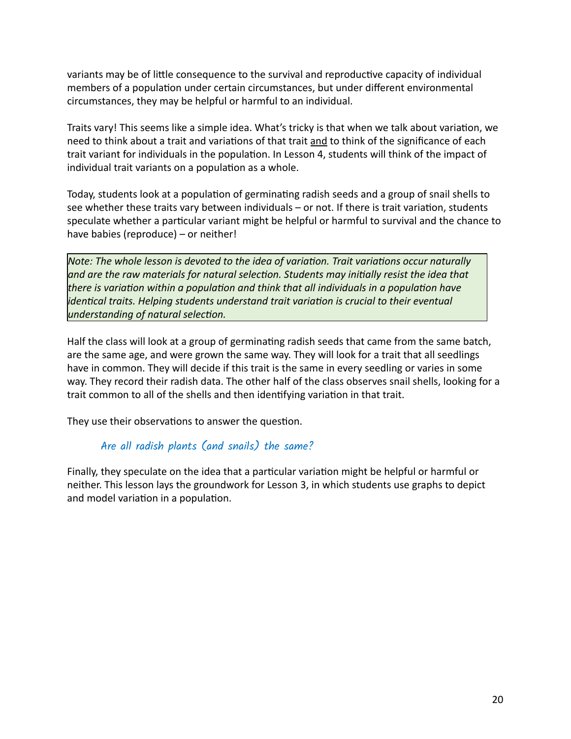variants may be of little consequence to the survival and reproductive capacity of individual members of a population under certain circumstances, but under different environmental circumstances, they may be helpful or harmful to an individual.

Traits vary! This seems like a simple idea. What's tricky is that when we talk about variation, we need to think about a trait and variations of that trait and to think of the significance of each trait variant for individuals in the population. In Lesson 4, students will think of the impact of individual trait variants on a population as a whole.

Today, students look at a population of germinating radish seeds and a group of snail shells to see whether these traits vary between individuals  $-$  or not. If there is trait variation, students speculate whether a particular variant might be helpful or harmful to survival and the chance to have babies (reproduce) – or neither!

*Note: The whole lesson is devoted to the idea of variation. Trait variations occur naturally and are the raw materials for natural selecon. Students may inially resist the idea that* there is variation within a population and think that all individuals in a population have *identical traits. Helping students understand trait variation is crucial to their eventual understanding of natural selection.* 

Half the class will look at a group of germinating radish seeds that came from the same batch, are the same age, and were grown the same way. They will look for a trait that all seedlings have in common. They will decide if this trait is the same in every seedling or varies in some way. They record their radish data. The other half of the class observes snail shells, looking for a trait common to all of the shells and then identifying variation in that trait.

They use their observations to answer the question.

# Are all radish plants (and snails) the same?

Finally, they speculate on the idea that a particular variation might be helpful or harmful or neither. This lesson lays the groundwork for Lesson 3, in which students use graphs to depict and model variation in a population.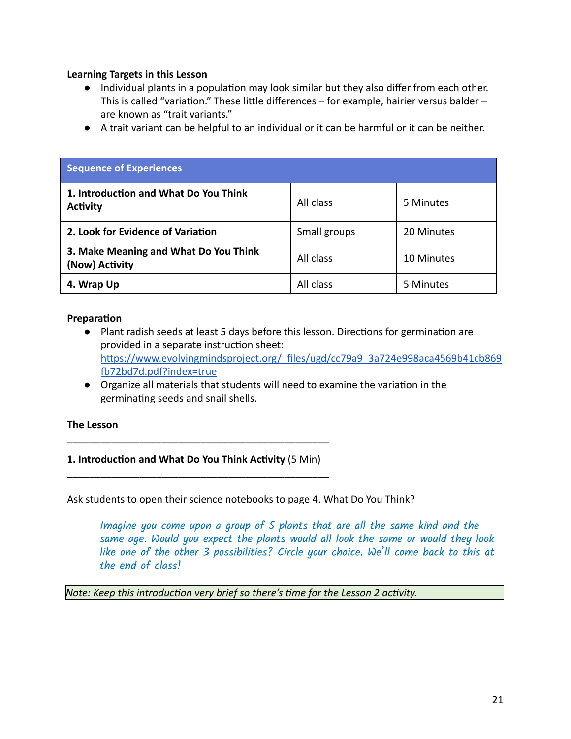### **Learning Targets in this Lesson**

- Individual plants in a population may look similar but they also differ from each other. This is called "variation." These little differences  $-$  for example, hairier versus balder  $$ are known as "trait variants."
- A trait variant can be helpful to an individual or it can be harmful or it can be neither.

| <b>Sequence of Experiences</b>                           |              |            |  |
|----------------------------------------------------------|--------------|------------|--|
| 1. Introduction and What Do You Think<br><b>Activity</b> | All class    | 5 Minutes  |  |
| 2. Look for Evidence of Variation                        | Small groups | 20 Minutes |  |
| 3. Make Meaning and What Do You Think<br>(Now) Activity  | All class    | 10 Minutes |  |
| 4. Wrap Up                                               | All class    | 5 Minutes  |  |

#### **Preparation**

- Plant radish seeds at least 5 days before this lesson. Directions for germination are provided in a separate instruction sheet: https://www.evolvingmindsproject.org/ files/ugd/cc79a9\_3a724e998aca4569b41cb869 [72bd7d.pdf?index=true](https://www.evolvingmindsproject.org/_files/ugd/cc79a9_3a724e998aca4569b41cb869fb72bd7d.pdf?index=true)
- Organize all materials that students will need to examine the variation in the germinating seeds and snail shells.

#### **The Lesson**

# 1. Introduction and What Do You Think Activity (5 Min) **\_\_\_\_\_\_\_\_\_\_\_\_\_\_\_\_\_\_\_\_\_\_\_\_\_\_\_\_\_\_\_\_\_\_\_\_\_\_\_\_\_\_\_\_\_\_\_**

\_\_\_\_\_\_\_\_\_\_\_\_\_\_\_\_\_\_\_\_\_\_\_\_\_\_\_\_\_\_\_\_\_\_\_\_\_\_\_\_\_\_\_\_\_\_\_

Ask students to open their science notebooks to page 4. What Do You Think?

Imagine you come upon a group of 5 plants that are all the same kind and the same age. Would you expect the plants would all look the same or would they look like one of the other 3 possibilities? Circle your choice. We'll come back to this at the end of class!

*Note: Keep this introduction very brief so there's time for the Lesson 2 activity.*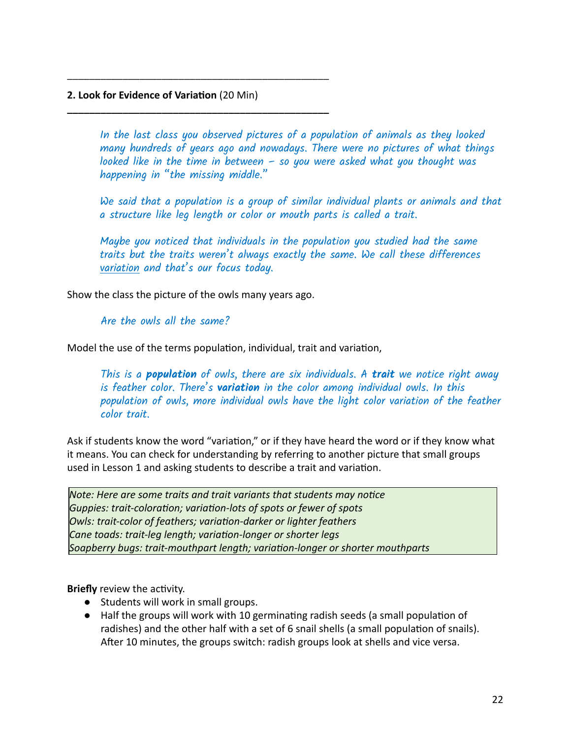## **2. Look for Evidence of Variation** (20 Min)

\_\_\_\_\_\_\_\_\_\_\_\_\_\_\_\_\_\_\_\_\_\_\_\_\_\_\_\_\_\_\_\_\_\_\_\_\_\_\_\_\_\_\_\_\_\_\_

**\_\_\_\_\_\_\_\_\_\_\_\_\_\_\_\_\_\_\_\_\_\_\_\_\_\_\_\_\_\_\_\_\_\_\_\_\_\_\_\_\_\_\_\_\_\_\_**

In the last class you observed pictures of a population of animals as they looked many hundreds of years ago and nowadays. There were no pictures of what things looked like in the time in between  $-$  so you were asked what you thought was happening in "the missing middle."

We said that a population is a group of similar individual plants or animals and that a structure like leg length or color or mouth parts is called a trait.

Maybe you noticed that individuals in the population you studied had the same traits but the traits weren't always exactly the same. We call these differences variation and that's our focus today.

Show the class the picture of the owls many years ago.

Are the owls all the same?

Model the use of the terms population, individual, trait and variation,

This is a **population** of owls, there are six individuals. A **trait** we notice right away is feather color. There's **variation** in the color among individual owls. In this population of owls, more individual owls have the light color variation of the feather color trait.

Ask if students know the word "variation," or if they have heard the word or if they know what it means. You can check for understanding by referring to another picture that small groups used in Lesson 1 and asking students to describe a trait and variation.

*Note: Here are some traits and trait variants that students may notice Guppies: trait-coloration; variation-lots of spots or fewer of spots Owls: trait-color of feathers; variaon-darker or lighter feathers Cane toads: trait-leg length; variaon-longer or shorter legs Soapberry bugs: trait-mouthpart length; variaon-longer or shorter mouthparts*

**Briefly** review the activity.

- Students will work in small groups.
- Half the groups will work with 10 germinating radish seeds (a small population of radishes) and the other half with a set of 6 snail shells (a small population of snails). After 10 minutes, the groups switch: radish groups look at shells and vice versa.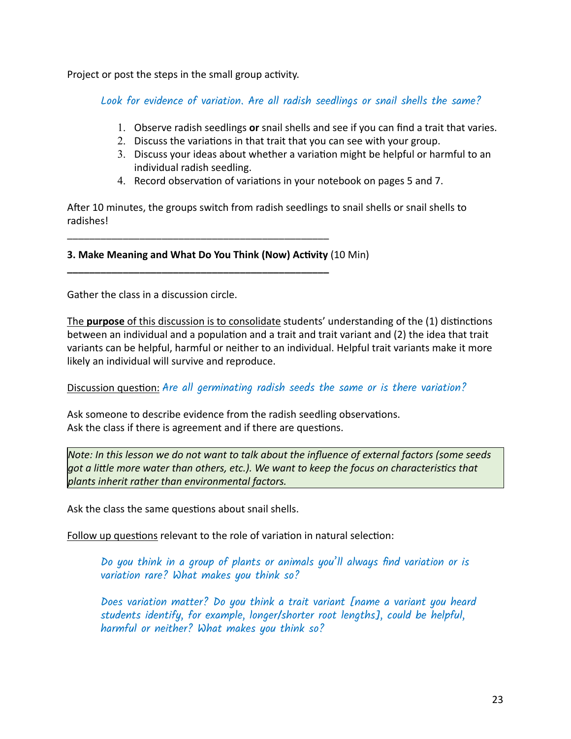Project or post the steps in the small group activity.

Look for evidence of variation. Are all radish seedlings or snail shells the same?

- 1. Observe radish seedlings **or** snail shells and see if you can find a trait that varies.
- 2. Discuss the variations in that trait that you can see with your group.
- 3. Discuss your ideas about whether a variation might be helpful or harmful to an individual radish seedling.
- 4. Record observation of variations in your notebook on pages 5 and 7.

After 10 minutes, the groups switch from radish seedlings to snail shells or snail shells to radishes!

## **3. Make Meaning and What Do You Think (Now) Activity** (10 Min)

\_\_\_\_\_\_\_\_\_\_\_\_\_\_\_\_\_\_\_\_\_\_\_\_\_\_\_\_\_\_\_\_\_\_\_\_\_\_\_\_\_\_\_\_\_\_\_

**\_\_\_\_\_\_\_\_\_\_\_\_\_\_\_\_\_\_\_\_\_\_\_\_\_\_\_\_\_\_\_\_\_\_\_\_\_\_\_\_\_\_\_\_\_\_\_**

Gather the class in a discussion circle.

The **purpose** of this discussion is to consolidate students' understanding of the (1) distinctions between an individual and a population and a trait and trait variant and (2) the idea that trait variants can be helpful, harmful or neither to an individual. Helpful trait variants make it more likely an individual will survive and reproduce.

Discussion question: Are all germinating radish seeds the same or is there variation?

Ask someone to describe evidence from the radish seedling observations. Ask the class if there is agreement and if there are questions.

*Note: In this lesson we do not want to talk about the influence of external factors (some seeds got a lile more water than others, etc.). We want to keep the focus on characteriscs that plants inherit rather than environmental factors.* 

Ask the class the same questions about snail shells.

Follow up questions relevant to the role of variation in natural selection:

Do you think in a group of plants or animals you'll always find variation or is variation rare? What makes you think so?

Does variation matter? Do you think a trait variant [name a variant you heard students identify, for example, longer/shorter root lengths], could be helpful, harmful or neither? What makes you think so?